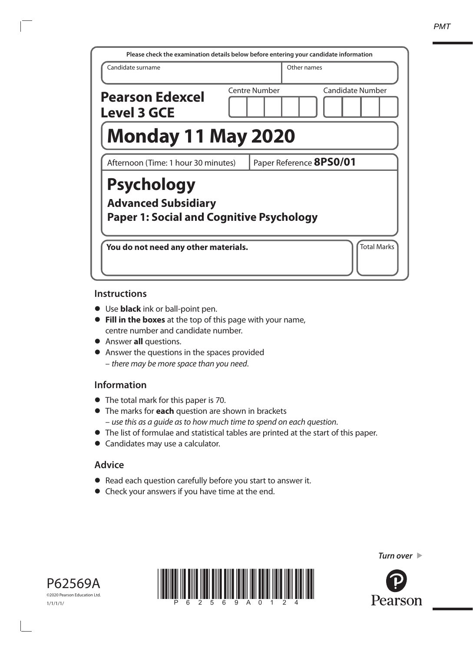| Please check the examination details below before entering your candidate information              |                      |                         |
|----------------------------------------------------------------------------------------------------|----------------------|-------------------------|
| Candidate surname                                                                                  |                      | Other names             |
| <b>Pearson Edexcel</b><br><b>Level 3 GCE</b>                                                       | <b>Centre Number</b> | <b>Candidate Number</b> |
| <b>Monday 11 May 2020</b>                                                                          |                      |                         |
| Afternoon (Time: 1 hour 30 minutes)                                                                |                      | Paper Reference 8PS0/01 |
| <b>Psychology</b><br><b>Advanced Subsidiary</b><br><b>Paper 1: Social and Cognitive Psychology</b> |                      |                         |
| You do not need any other materials.                                                               |                      | <b>Total Marks</b>      |

### **Instructions**

- **•** Use **black** ink or ball-point pen.
- **• Fill in the boxes** at the top of this page with your name, centre number and candidate number.
- **•** Answer **all** questions.
- **•** Answer the questions in the spaces provided – *there may be more space than you need*.

### **Information**

- **•** The total mark for this paper is 70.
- **•** The marks for **each** question are shown in brackets – *use this as a guide as to how much time to spend on each question*.
- **•** The list of formulae and statistical tables are printed at the start of this paper.
- **•** Candidates may use a calculator.

## **Advice**

- **•** Read each question carefully before you start to answer it.
- **•** Check your answers if you have time at the end.





*Turn over* 

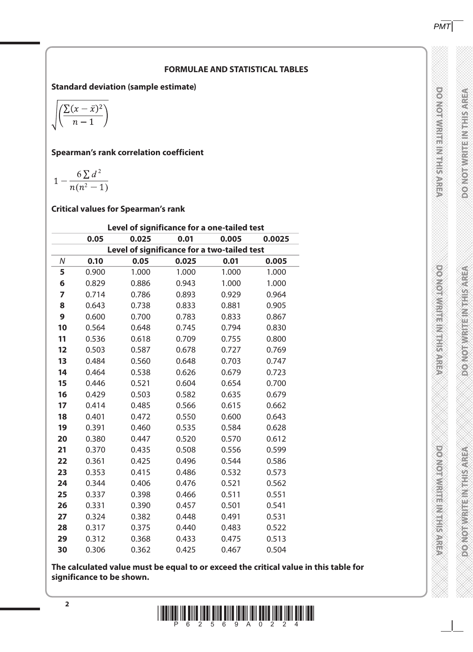DO NOTWRITE IN THIS AREA

poworwanian with system

**DOOMOTWRITEM NHSAREA** 

### **FORMULAE AND STATISTICAL TABLES**

## **Standard deviation (sample estimate)**

$$
\sqrt{\left(\frac{\sum (x-\bar{x})^2}{n-1}\right)}
$$

**Spearman's rank correlation coefficient**

$$
1-\frac{6\sum d^2}{n(n^2-1)}
$$

### **Critical values for Spearman's rank**

|    |       |       | Level of significance for a one-tailed test |       |        |
|----|-------|-------|---------------------------------------------|-------|--------|
|    | 0.05  | 0.025 | 0.01                                        | 0.005 | 0.0025 |
|    |       |       | Level of significance for a two-tailed test |       |        |
| N  | 0.10  | 0.05  | 0.025                                       | 0.01  | 0.005  |
| 5  | 0.900 | 1.000 | 1.000                                       | 1.000 | 1.000  |
| 6  | 0.829 | 0.886 | 0.943                                       | 1.000 | 1.000  |
| 7  | 0.714 | 0.786 | 0.893                                       | 0.929 | 0.964  |
| 8  | 0.643 | 0.738 | 0.833                                       | 0.881 | 0.905  |
| 9  | 0.600 | 0.700 | 0.783                                       | 0.833 | 0.867  |
| 10 | 0.564 | 0.648 | 0.745                                       | 0.794 | 0.830  |
| 11 | 0.536 | 0.618 | 0.709                                       | 0.755 | 0.800  |
| 12 | 0.503 | 0.587 | 0.678                                       | 0.727 | 0.769  |
| 13 | 0.484 | 0.560 | 0.648                                       | 0.703 | 0.747  |
| 14 | 0.464 | 0.538 | 0.626                                       | 0.679 | 0.723  |
| 15 | 0.446 | 0.521 | 0.604                                       | 0.654 | 0.700  |
| 16 | 0.429 | 0.503 | 0.582                                       | 0.635 | 0.679  |
| 17 | 0.414 | 0.485 | 0.566                                       | 0.615 | 0.662  |
| 18 | 0.401 | 0.472 | 0.550                                       | 0.600 | 0.643  |
| 19 | 0.391 | 0.460 | 0.535                                       | 0.584 | 0.628  |
| 20 | 0.380 | 0.447 | 0.520                                       | 0.570 | 0.612  |
| 21 | 0.370 | 0.435 | 0.508                                       | 0.556 | 0.599  |
| 22 | 0.361 | 0.425 | 0.496                                       | 0.544 | 0.586  |
| 23 | 0.353 | 0.415 | 0.486                                       | 0.532 | 0.573  |
| 24 | 0.344 | 0.406 | 0.476                                       | 0.521 | 0.562  |
| 25 | 0.337 | 0.398 | 0.466                                       | 0.511 | 0.551  |
| 26 | 0.331 | 0.390 | 0.457                                       | 0.501 | 0.541  |
| 27 | 0.324 | 0.382 | 0.448                                       | 0.491 | 0.531  |
| 28 | 0.317 | 0.375 | 0.440                                       | 0.483 | 0.522  |
| 29 | 0.312 | 0.368 | 0.433                                       | 0.475 | 0.513  |
| 30 | 0.306 | 0.362 | 0.425                                       | 0.467 | 0.504  |

**The calculated value must be equal to or exceed the critical value in this table for significance to be shown.**

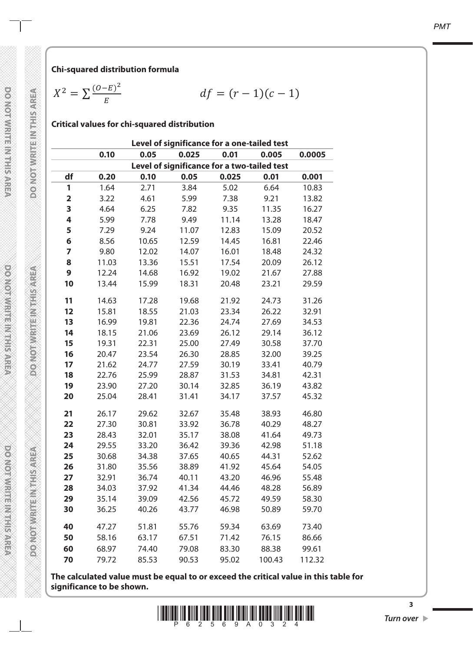### **Chi-squared distribution formula Chi-squared distribution formula**

$$
X^2 = \sum \frac{(0-E)^2}{E} \qquad df = (r-1)(c-1)
$$

#### $\frac{1}{2}$ **C Critical values for chi-squared distribution**

|                         |       |       | Level of significance for a one-tailed test |       |        |        |
|-------------------------|-------|-------|---------------------------------------------|-------|--------|--------|
|                         | 0.10  | 0.05  | 0.025                                       | 0.01  | 0.005  | 0.0005 |
|                         |       |       | Level of significance for a two-tailed test |       |        |        |
| df                      | 0.20  | 0.10  | 0.05                                        | 0.025 | 0.01   | 0.001  |
| 1                       | 1.64  | 2.71  | 3.84                                        | 5.02  | 6.64   | 10.83  |
| $\overline{\mathbf{2}}$ | 3.22  | 4.61  | 5.99                                        | 7.38  | 9.21   | 13.82  |
| 3                       | 4.64  | 6.25  | 7.82                                        | 9.35  | 11.35  | 16.27  |
| 4                       | 5.99  | 7.78  | 9.49                                        | 11.14 | 13.28  | 18.47  |
| 5                       | 7.29  | 9.24  | 11.07                                       | 12.83 | 15.09  | 20.52  |
| 6                       | 8.56  | 10.65 | 12.59                                       | 14.45 | 16.81  | 22.46  |
| 7                       | 9.80  | 12.02 | 14.07                                       | 16.01 | 18.48  | 24.32  |
| 8                       | 11.03 | 13.36 | 15.51                                       | 17.54 | 20.09  | 26.12  |
| 9                       | 12.24 | 14.68 | 16.92                                       | 19.02 | 21.67  | 27.88  |
| 10                      | 13.44 | 15.99 | 18.31                                       | 20.48 | 23.21  | 29.59  |
| 11                      | 14.63 | 17.28 | 19.68                                       | 21.92 | 24.73  | 31.26  |
| 12                      | 15.81 | 18.55 | 21.03                                       | 23.34 | 26.22  | 32.91  |
| 13                      | 16.99 | 19.81 | 22.36                                       | 24.74 | 27.69  | 34.53  |
| 14                      | 18.15 | 21.06 | 23.69                                       | 26.12 | 29.14  | 36.12  |
| 15                      | 19.31 | 22.31 | 25.00                                       | 27.49 | 30.58  | 37.70  |
| 16                      | 20.47 | 23.54 | 26.30                                       | 28.85 | 32.00  | 39.25  |
| 17                      | 21.62 | 24.77 | 27.59                                       | 30.19 | 33.41  | 40.79  |
| 18                      | 22.76 | 25.99 | 28.87                                       | 31.53 | 34.81  | 42.31  |
| 19                      | 23.90 | 27.20 | 30.14                                       | 32.85 | 36.19  | 43.82  |
| 20                      | 25.04 | 28.41 | 31.41                                       | 34.17 | 37.57  | 45.32  |
| 21                      | 26.17 | 29.62 | 32.67                                       | 35.48 | 38.93  | 46.80  |
| 22                      | 27.30 | 30.81 | 33.92                                       | 36.78 | 40.29  | 48.27  |
| 23                      | 28.43 | 32.01 | 35.17                                       | 38.08 | 41.64  | 49.73  |
| 24                      | 29.55 | 33.20 | 36.42                                       | 39.36 | 42.98  | 51.18  |
| 25                      | 30.68 | 34.38 | 37.65                                       | 40.65 | 44.31  | 52.62  |
| 26                      | 31.80 | 35.56 | 38.89                                       | 41.92 | 45.64  | 54.05  |
| 27                      | 32.91 | 36.74 | 40.11                                       | 43.20 | 46.96  | 55.48  |
| 28                      | 34.03 | 37.92 | 41.34                                       | 44.46 | 48.28  | 56.89  |
| 29                      | 35.14 | 39.09 | 42.56                                       | 45.72 | 49.59  | 58.30  |
| 30                      | 36.25 | 40.26 | 43.77                                       | 46.98 | 50.89  | 59.70  |
| 40                      | 47.27 | 51.81 | 55.76                                       | 59.34 | 63.69  | 73.40  |
| 50                      | 58.16 | 63.17 | 67.51                                       | 71.42 | 76.15  | 86.66  |
| 60                      | 68.97 | 74.40 | 79.08                                       | 83.30 | 88.38  | 99.61  |
| 70                      | 79.72 | 85.53 | 90.53                                       | 95.02 | 100.43 | 112.32 |

**The calculated value must be equal to or exceed the critical value in this table for significance to be shown.**

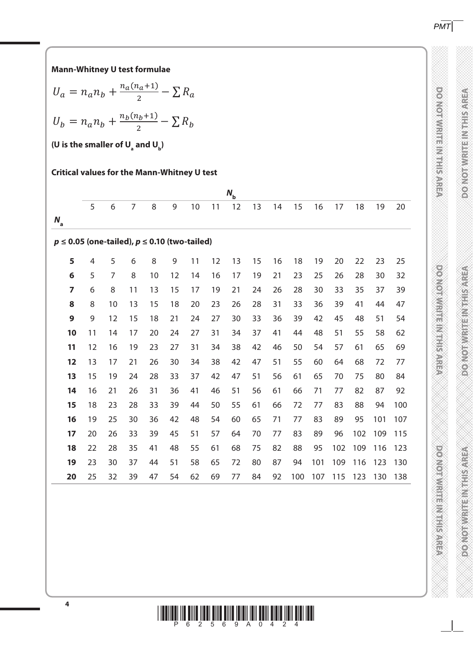#### **Mann-Whitney U test formulae Mann-Whitney U test formulae**

$$
U_a = n_a n_b + \frac{n_a (n_a + 1)}{2} - \sum R_a
$$
  

$$
U_b = n_a n_b + \frac{n_b (n_b + 1)}{2} - \sum R_b
$$

(U is the smaller of U<sub>a</sub> and U<sub>b</sub>)

#### **Critical values for the Mann-Whitney U test Critical values for the Mann-Whitney U test**

|                                                      |    |                |                |    |    |    |    | $N_{\rm b}$ |    |    |     |     |     |     |     |     |
|------------------------------------------------------|----|----------------|----------------|----|----|----|----|-------------|----|----|-----|-----|-----|-----|-----|-----|
|                                                      | 5  | 6              | $\overline{7}$ | 8  | 9  | 10 | 11 | 12          | 13 | 14 | 15  | 16  | 17  | 18  | 19  | 20  |
| $N_{\rm a}$                                          |    |                |                |    |    |    |    |             |    |    |     |     |     |     |     |     |
| $p \le 0.05$ (one-tailed), $p \le 0.10$ (two-tailed) |    |                |                |    |    |    |    |             |    |    |     |     |     |     |     |     |
| 5                                                    | 4  | 5              | 6              | 8  | 9  | 11 | 12 | 13          | 15 | 16 | 18  | 19  | 20  | 22  | 23  | 25  |
| 6                                                    | 5  | $\overline{7}$ | 8              | 10 | 12 | 14 | 16 | 17          | 19 | 21 | 23  | 25  | 26  | 28  | 30  | 32  |
| $\overline{7}$                                       | 6  | 8              | 11             | 13 | 15 | 17 | 19 | 21          | 24 | 26 | 28  | 30  | 33  | 35  | 37  | 39  |
| 8                                                    | 8  | 10             | 13             | 15 | 18 | 20 | 23 | 26          | 28 | 31 | 33  | 36  | 39  | 41  | 44  | 47  |
| 9                                                    | 9  | 12             | 15             | 18 | 21 | 24 | 27 | 30          | 33 | 36 | 39  | 42  | 45  | 48  | 51  | 54  |
| 10                                                   | 11 | 14             | 17             | 20 | 24 | 27 | 31 | 34          | 37 | 41 | 44  | 48  | 51  | 55  | 58  | 62  |
| 11                                                   | 12 | 16             | 19             | 23 | 27 | 31 | 34 | 38          | 42 | 46 | 50  | 54  | 57  | 61  | 65  | 69  |
| 12                                                   | 13 | 17             | 21             | 26 | 30 | 34 | 38 | 42          | 47 | 51 | 55  | 60  | 64  | 68  | 72  | 77  |
| 13                                                   | 15 | 19             | 24             | 28 | 33 | 37 | 42 | 47          | 51 | 56 | 61  | 65  | 70  | 75  | 80  | 84  |
| 14                                                   | 16 | 21             | 26             | 31 | 36 | 41 | 46 | 51          | 56 | 61 | 66  | 71  | 77  | 82  | 87  | 92  |
| 15                                                   | 18 | 23             | 28             | 33 | 39 | 44 | 50 | 55          | 61 | 66 | 72  | 77  | 83  | 88  | 94  | 100 |
| 16                                                   | 19 | 25             | 30             | 36 | 42 | 48 | 54 | 60          | 65 | 71 | 77  | 83  | 89  | 95  | 101 | 107 |
| 17                                                   | 20 | 26             | 33             | 39 | 45 | 51 | 57 | 64          | 70 | 77 | 83  | 89  | 96  | 102 | 109 | 115 |
| 18                                                   | 22 | 28             | 35             | 41 | 48 | 55 | 61 | 68          | 75 | 82 | 88  | 95  | 102 | 109 | 116 | 123 |
| 19                                                   | 23 | 30             | 37             | 44 | 51 | 58 | 65 | 72          | 80 | 87 | 94  | 101 | 109 | 116 | 123 | 130 |
| 20                                                   | 25 | 32             | 39             | 47 | 54 | 62 | 69 | 77          | 84 | 92 | 100 | 107 | 115 | 123 | 130 | 138 |

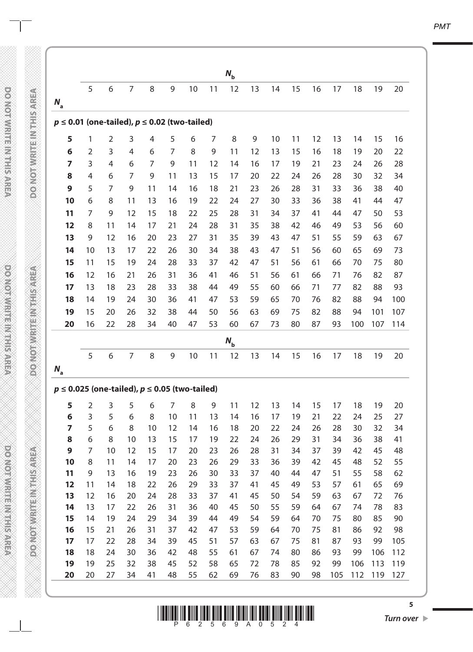|                                                      |                                                         |                |                |          |                |          |          | $N_{\rm b}$ |          |          |          |          |           |            |            |            |
|------------------------------------------------------|---------------------------------------------------------|----------------|----------------|----------|----------------|----------|----------|-------------|----------|----------|----------|----------|-----------|------------|------------|------------|
|                                                      | 5                                                       | 6              | $\overline{7}$ | 8        | 9              | 10       | 11       | 12          | 13       | 14       | 15       | 16       | 17        | 18         | 19         | 20         |
| $N_{\rm a}$                                          |                                                         |                |                |          |                |          |          |             |          |          |          |          |           |            |            |            |
| $p \le 0.01$ (one-tailed), $p \le 0.02$ (two-tailed) |                                                         |                |                |          |                |          |          |             |          |          |          |          |           |            |            |            |
| 5                                                    | 1                                                       | 2              | 3              | 4        | 5              | 6        | 7        | 8           | 9        | 10       | 11       | 12       | 13        | 14         | 15         | 16         |
| 6                                                    | $\overline{2}$                                          | 3              | $\overline{4}$ | 6        | 7              | 8        | 9        | 11          | 12       | 13       | 15       | 16       | 18        | 19         | 20         | 22         |
| 7                                                    | 3                                                       | $\overline{4}$ | 6              | 7        | 9              | 11       | 12       | 14          | 16       | 17       | 19       | 21       | 23        | 24         | 26         | 28         |
| 8                                                    | $\overline{4}$                                          | 6              | $\overline{7}$ | 9        | 11             | 13       | 15       | 17          | 20       | 22       | 24       | 26       | 28        | 30         | 32         | 34         |
| 9                                                    | 5                                                       | $\overline{7}$ | 9              | 11       | 14             | 16       | 18       | 21          | 23       | 26       | 28       | 31       | 33        | 36         | 38         | 40         |
| 10                                                   | 6                                                       | 8              | 11             | 13       | 16             | 19       | 22       | 24          | 27       | 30       | 33       | 36       | 38        | 41         | 44         | 47         |
| 11                                                   | 7                                                       | 9              | 12             | 15       | 18             | 22       | 25       | 28          | 31       | 34       | 37       | 41       | 44        | 47         | 50         | 53         |
| 12                                                   | 8                                                       | 11             | 14             | 17       | 21             | 24       | 28       | 31          | 35       | 38       | 42       | 46       | 49        | 53         | 56         | 60         |
| 13                                                   | 9                                                       | 12             | 16             | 20       | 23             | 27       | 31       | 35          | 39       | 43       | 47       | 51       | 55        | 59         | 63         | 67         |
| 14                                                   | 10                                                      | 13             | 17             | 22       | 26             | 30       | 34       | 38          | 43       | 47       | 51       | 56       | 60        | 65         | 69         | 73         |
| 15                                                   | 11                                                      | 15             | 19             | 24       | 28             | 33       | 37       | 42          | 47       | 51       | 56       | 61       | 66        | 70         | 75         | 80         |
| 16                                                   | 12                                                      | 16             | 21             | 26       | 31             | 36       | 41       | 46          | 51       | 56       | 61       | 66       | 71        | 76         | 82         | 87         |
| 17                                                   | 13                                                      | 18             | 23             | 28       | 33             | 38       | 44       | 49          | 55       | 60       | 66       | 71       | 77        | 82         | 88         | 93         |
| 18                                                   | 14                                                      | 19             | 24             | 30       | 36             | 41       | 47       | 53          | 59       | 65       | 70       | 76       | 82        | 88         | 94         | 100        |
| 19                                                   | 15                                                      | 20             | 26             | 32       | 38             | 44       | 50       | 56          | 63       | 69       | 75       | 82       | 88        | 94         | 101        | 107        |
| 20                                                   | 16                                                      | 22             | 28             | 34       | 40             | 47       | 53       | 60          | 67       | 73       | 80       | 87       | 93        | 100        | 107        | 114        |
|                                                      |                                                         |                |                |          |                |          |          | $N_{\rm b}$ |          |          |          |          |           |            |            |            |
|                                                      | 5                                                       | 6              | $\overline{7}$ | 8        | 9              | 10       | 11       | 12          | 13       | 14       | 15       | 16       | 17        | 18         | 19         | 20         |
| $N_{\rm a}$                                          |                                                         |                |                |          |                |          |          |             |          |          |          |          |           |            |            |            |
|                                                      | $p \leq 0.025$ (one-tailed), $p \leq 0.05$ (two-tailed) |                |                |          |                |          |          |             |          |          |          |          |           |            |            |            |
| 5                                                    | $\overline{2}$                                          | 3              | 5              | 6        | $\overline{7}$ | 8        | 9        | 11          | 12       | 13       | 14       | 15       | 17        | 18         | 19         | 20         |
| 6                                                    | 3                                                       | 5              | 6              | 8        | 10             | 11       | 13       | 14          | 16       | 17       | 19       | 21       | 22        | 24         | 25         | 27         |
| 7                                                    | 5                                                       | 6              | 8              | 10       | 12             | 14       | 16       | 18          | 20       | 22       | 24       | 26       | 28        | 30         | 32         | 34         |
| 8                                                    | 6                                                       | 8              | 10             | 13       | 15             | 17       | 19       | 22          | 24       | 26       | 29       | 31       | 34        | 36         | 38         | 41         |
| 9                                                    | $\overline{7}$                                          | 10             | 12             | 15       | 17             | 20       | 23       | 26          | 28       | 31       | 34       | 37       | 39        | 42         | 45         | 48         |
| 10<br>11                                             | 8<br>9                                                  | 11<br>13       | 14<br>16       | 17       | 20<br>23       | 23       | 26<br>30 | 29<br>33    | 33<br>37 | 36<br>40 | 39       | 42<br>47 | 45<br>51  | 48<br>55   | 52<br>58   | 55         |
| 12                                                   | 11                                                      | 14             | 18             | 19<br>22 | 26             | 26<br>29 | 33       | 37          | 41       | 45       | 44<br>49 | 53       | 57        | 61         | 65         | 62<br>69   |
| 13                                                   | 12                                                      | 16             | 20             | 24       | 28             | 33       | 37       | 41          | 45       | 50       | 54       | 59       | 63        | 67         | 72         | 76         |
| 14                                                   | 13                                                      | 17             | 22             | 26       | 31             | 36       | 40       | 45          | 50       | 55       | 59       | 64       | 67        | 74         | 78         | 83         |
|                                                      |                                                         | 19             | 24             | 29       | 34             | 39       | 44       | 49          | 54       | 59       | 64       | 70       | 75        | 80         | 85         | 90         |
| 15                                                   | 14                                                      |                |                |          | 37             | 42       | 47       | 53          | 59       | 64       | 70       | 75       | 81        | 86         | 92         | 98         |
| 16                                                   | 15                                                      | 21             | 26             | 31       |                |          |          |             |          |          |          |          |           |            |            |            |
| 17                                                   | 17                                                      | 22             | 28             | 34       | 39             | 45       | 51       | 57          | 63       | 67       | 75       | 81       | 87        | 93         | 99         |            |
| 18                                                   | 18                                                      | 24             | 30             | 36       | 42             | 48       | 55       | 61          | 67       | 74       | 80       | 86       | 93        | 99         | 106        | 105<br>112 |
| 19<br>20                                             | 19<br>20                                                | 25<br>27       | 32<br>34       | 38<br>41 | 45<br>48       | 52<br>55 | 58<br>62 | 65<br>69    | 72<br>76 | 78<br>83 | 85<br>90 | 92<br>98 | 99<br>105 | 106<br>112 | 113<br>119 | 119<br>127 |



**DONOTWRITE IN THIS AREA** 

DO NOT WRITE IN THIS AREA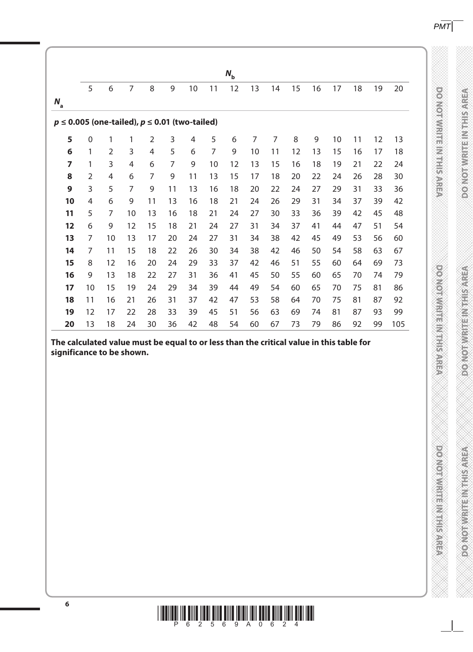DO NOTWRITE IN THIS AREA

**DOOMORDERMENS AREA** 

**DO NOT METER INTERNETARE** 

|                                                       |                  |                |                |                |                |                |                | $N_{\rm b}$ |                |                |    |    |    |    |    |     |
|-------------------------------------------------------|------------------|----------------|----------------|----------------|----------------|----------------|----------------|-------------|----------------|----------------|----|----|----|----|----|-----|
|                                                       | 5                | 6              | 7              | 8              | 9              | 10             | 11             | 12          | 13             | 14             | 15 | 16 | 17 | 18 | 19 | 20  |
| $N_{\rm a}$                                           |                  |                |                |                |                |                |                |             |                |                |    |    |    |    |    |     |
| $p \le 0.005$ (one-tailed), $p \le 0.01$ (two-tailed) |                  |                |                |                |                |                |                |             |                |                |    |    |    |    |    |     |
| 5                                                     | $\boldsymbol{0}$ | 1              | 1              | $\overline{2}$ | 3              | $\overline{4}$ | 5              | 6           | $\overline{7}$ | $\overline{7}$ | 8  | 9  | 10 | 11 | 12 | 13  |
| 6                                                     | 1                | $\overline{2}$ | 3              | $\overline{4}$ | 5              | 6              | $\overline{7}$ | 9           | 10             | 11             | 12 | 13 | 15 | 16 | 17 | 18  |
| $\overline{\mathbf{z}}$                               | 1                | 3              | $\overline{4}$ | 6              | $\overline{7}$ | 9              | 10             | 12          | 13             | 15             | 16 | 18 | 19 | 21 | 22 | 24  |
| 8                                                     | $\overline{2}$   | $\overline{4}$ | 6              | $\overline{7}$ | 9              | 11             | 13             | 15          | 17             | 18             | 20 | 22 | 24 | 26 | 28 | 30  |
| 9                                                     | 3                | 5              | $\overline{7}$ | 9              | 11             | 13             | 16             | 18          | 20             | 22             | 24 | 27 | 29 | 31 | 33 | 36  |
| 10                                                    | $\overline{4}$   | 6              | 9              | 11             | 13             | 16             | 18             | 21          | 24             | 26             | 29 | 31 | 34 | 37 | 39 | 42  |
| 11                                                    | 5                | 7              | 10             | 13             | 16             | 18             | 21             | 24          | 27             | 30             | 33 | 36 | 39 | 42 | 45 | 48  |
| 12                                                    | 6                | 9              | 12             | 15             | 18             | 21             | 24             | 27          | 31             | 34             | 37 | 41 | 44 | 47 | 51 | 54  |
| 13                                                    | $\overline{7}$   | 10             | 13             | 17             | 20             | 24             | 27             | 31          | 34             | 38             | 42 | 45 | 49 | 53 | 56 | 60  |
| 14                                                    | 7                | 11             | 15             | 18             | 22             | 26             | 30             | 34          | 38             | 42             | 46 | 50 | 54 | 58 | 63 | 67  |
| 15                                                    | 8                | 12             | 16             | 20             | 24             | 29             | 33             | 37          | 42             | 46             | 51 | 55 | 60 | 64 | 69 | 73  |
| 16                                                    | 9                | 13             | 18             | 22             | 27             | 31             | 36             | 41          | 45             | 50             | 55 | 60 | 65 | 70 | 74 | 79  |
| 17                                                    | 10               | 15             | 19             | 24             | 29             | 34             | 39             | 44          | 49             | 54             | 60 | 65 | 70 | 75 | 81 | 86  |
| 18                                                    | 11               | 16             | 21             | 26             | 31             | 37             | 42             | 47          | 53             | 58             | 64 | 70 | 75 | 81 | 87 | 92  |
| 19                                                    | 12               | 17             | 22             | 28             | 33             | 39             | 45             | 51          | 56             | 63             | 69 | 74 | 81 | 87 | 93 | 99  |
| 20                                                    | 13               | 18             | 24             | 30             | 36             | 42             | 48             | 54          | 60             | 67             | 73 | 79 | 86 | 92 | 99 | 105 |

**The calculated value must be equal to or less than the critical value in this table for significance to be shown.**

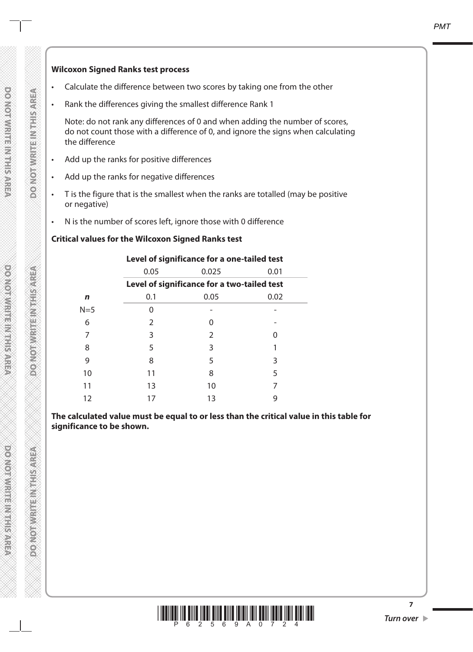## **Wilcoxon Signed Ranks test process**

- Calculate the difference between two scores by taking one from the other
- Rank the differences giving the smallest difference Rank 1

 Note: do not rank any differences of 0 and when adding the number of scores, do not count those with a difference of 0, and ignore the signs when calculating the difference

- Add up the ranks for positive differences
- Add up the ranks for negative differences
- T is the figure that is the smallest when the ranks are totalled (may be positive or negative)
- N is the number of scores left, ignore those with 0 difference

## **Critical values for the Wilcoxon Signed Ranks test**

|       |      | Level of significance for a one-tailed test |      |
|-------|------|---------------------------------------------|------|
|       | 0.05 | 0.025                                       | 0.01 |
|       |      | Level of significance for a two-tailed test |      |
| n     | 0.1  | 0.05                                        | 0.02 |
| $N=5$ | Ω    |                                             |      |
| 6     | 2    |                                             |      |
|       | 3    | 2                                           |      |
| 8     | 5    | 3                                           |      |
| 9     | 8    | 5                                           | 3    |
| 10    | 11   | 8                                           | 5    |
| 11    | 13   | 10                                          |      |
| 12    | 17   | 13                                          | 9    |

**The calculated value must be equal to or less than the critical value in this table for significance to be shown.**

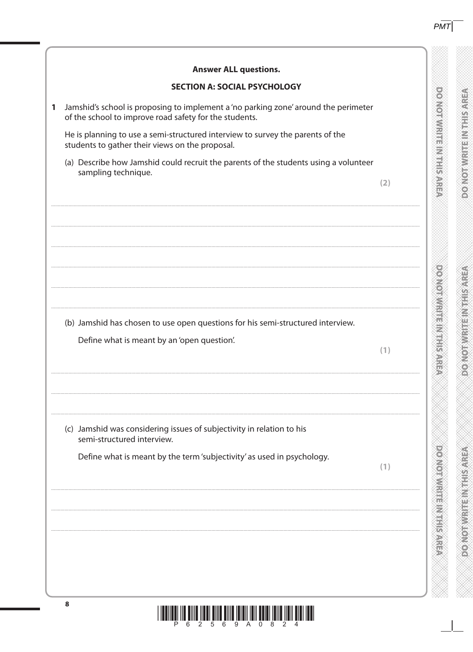| <b>Answer ALL questions.</b>                                                                                                                  |        |
|-----------------------------------------------------------------------------------------------------------------------------------------------|--------|
| <b>SECTION A: SOCIAL PSYCHOLOGY</b>                                                                                                           |        |
| Jamshid's school is proposing to implement a 'no parking zone' around the perimeter<br>of the school to improve road safety for the students. |        |
| He is planning to use a semi-structured interview to survey the parents of the<br>students to gather their views on the proposal.             |        |
| (a) Describe how Jamshid could recruit the parents of the students using a volunteer<br>sampling technique.                                   |        |
|                                                                                                                                               | (2)    |
|                                                                                                                                               |        |
|                                                                                                                                               |        |
|                                                                                                                                               |        |
|                                                                                                                                               |        |
|                                                                                                                                               |        |
| (b) Jamshid has chosen to use open questions for his semi-structured interview.                                                               |        |
| Define what is meant by an 'open question'.                                                                                                   | $\Box$ |
|                                                                                                                                               |        |
|                                                                                                                                               |        |
| (c) Jamshid was considering issues of subjectivity in relation to his<br>semi-structured interview.                                           |        |
| Define what is meant by the term 'subjectivity' as used in psychology.                                                                        | (1)    |
|                                                                                                                                               |        |
|                                                                                                                                               |        |
|                                                                                                                                               |        |

DO NOT WRITE IN THIS AREA

**DOMOTIVES IN THE AREA** 

DO NOT WELFT IN THE ALL STATES

888888

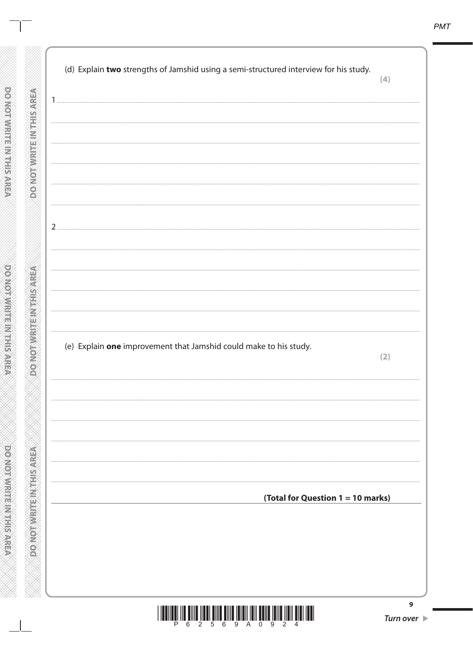|   | (d) Explain two strengths of Jamshid using a semi-structured interview for his study. | (4) |
|---|---------------------------------------------------------------------------------------|-----|
|   |                                                                                       |     |
|   |                                                                                       |     |
|   |                                                                                       |     |
|   |                                                                                       |     |
|   |                                                                                       |     |
|   |                                                                                       |     |
| 2 |                                                                                       |     |
|   |                                                                                       |     |
|   |                                                                                       |     |
|   |                                                                                       |     |
|   |                                                                                       |     |
|   |                                                                                       |     |
|   |                                                                                       |     |
|   |                                                                                       |     |
|   | (e) Explain one improvement that Jamshid could make to his study.                     | (2) |
|   |                                                                                       |     |
|   |                                                                                       |     |
|   |                                                                                       |     |
|   |                                                                                       |     |
|   |                                                                                       |     |
|   |                                                                                       |     |
|   | (Total for Question 1 = 10 marks)                                                     |     |
|   |                                                                                       |     |
|   |                                                                                       |     |
|   |                                                                                       |     |
|   |                                                                                       |     |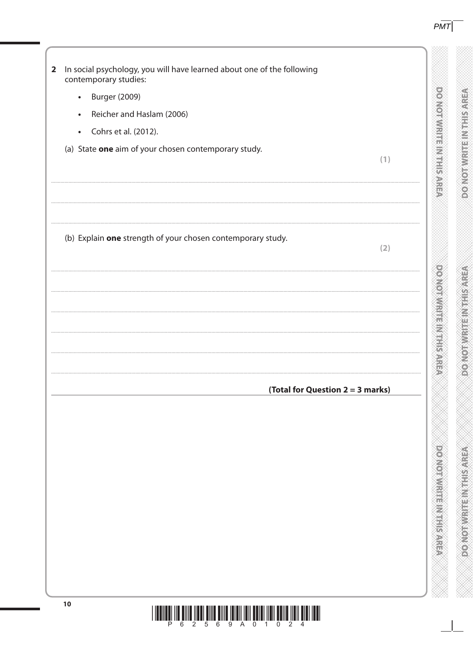| ۹ |  |
|---|--|
|   |  |

DO NOT WRITE IN THIS AREA

**DOMOTIVES IN THE AREA** 

RANDINAN SAN

DO NOT WIRE ENTERNAS AREA

| $\overline{\mathbf{2}}$ | In social psychology, you will have learned about one of the following<br>contemporary studies: |     |
|-------------------------|-------------------------------------------------------------------------------------------------|-----|
|                         | <b>Burger (2009)</b><br>$\bullet$                                                               |     |
|                         | Reicher and Haslam (2006)<br>$\bullet$                                                          |     |
|                         | • Cohrs et al. (2012).                                                                          |     |
|                         | (a) State one aim of your chosen contemporary study.                                            | (1) |
|                         |                                                                                                 |     |
|                         |                                                                                                 |     |
|                         |                                                                                                 |     |
|                         |                                                                                                 |     |
|                         | (b) Explain one strength of your chosen contemporary study.                                     | (2) |
|                         |                                                                                                 |     |
|                         |                                                                                                 |     |
|                         |                                                                                                 |     |
|                         |                                                                                                 |     |
|                         |                                                                                                 |     |
|                         |                                                                                                 |     |
|                         |                                                                                                 |     |
|                         | (Total for Question 2 = 3 marks)                                                                |     |
|                         |                                                                                                 |     |
|                         |                                                                                                 |     |
|                         |                                                                                                 |     |
|                         |                                                                                                 |     |
|                         |                                                                                                 |     |
|                         |                                                                                                 |     |
|                         |                                                                                                 |     |
|                         |                                                                                                 |     |
|                         |                                                                                                 |     |
|                         |                                                                                                 |     |
|                         |                                                                                                 |     |
|                         | 10                                                                                              |     |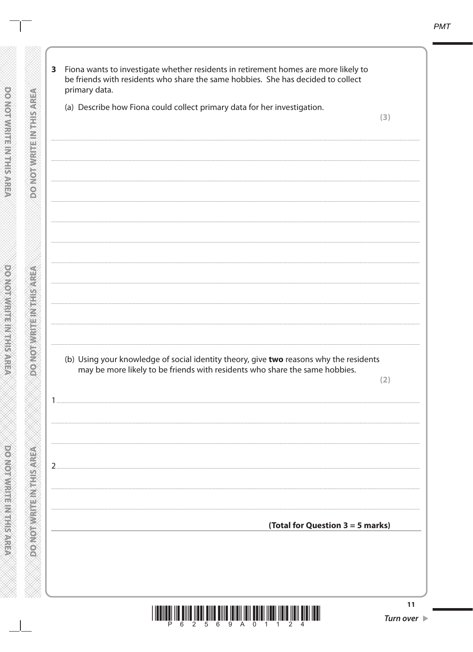|   | primary data.                                                                                                                                                         |                                  |     |
|---|-----------------------------------------------------------------------------------------------------------------------------------------------------------------------|----------------------------------|-----|
|   | (a) Describe how Fiona could collect primary data for her investigation.                                                                                              |                                  | (3) |
|   |                                                                                                                                                                       |                                  |     |
|   |                                                                                                                                                                       |                                  |     |
|   |                                                                                                                                                                       |                                  |     |
|   |                                                                                                                                                                       |                                  |     |
|   |                                                                                                                                                                       |                                  |     |
|   |                                                                                                                                                                       |                                  |     |
|   |                                                                                                                                                                       |                                  |     |
|   | (b) Using your knowledge of social identity theory, give two reasons why the residents<br>may be more likely to be friends with residents who share the same hobbies. |                                  | (2) |
|   |                                                                                                                                                                       |                                  |     |
|   |                                                                                                                                                                       |                                  |     |
|   |                                                                                                                                                                       |                                  |     |
|   |                                                                                                                                                                       |                                  |     |
|   |                                                                                                                                                                       |                                  |     |
| 2 |                                                                                                                                                                       | (Total for Question 3 = 5 marks) |     |

Turn over  $\blacktriangleright$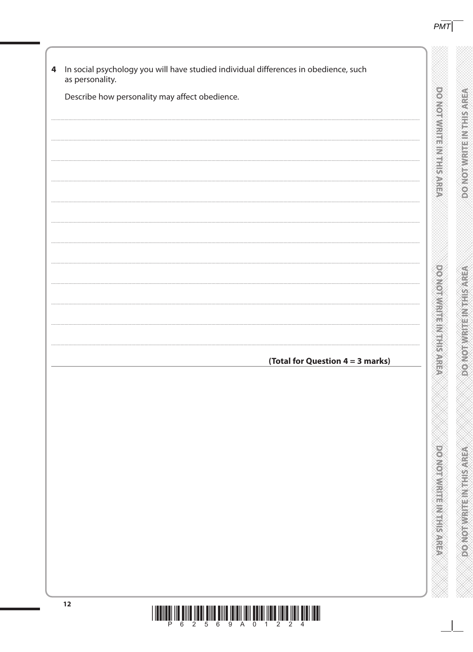| 4 | In social psychology you will have studied individual differences in obedience, such<br>as personality. |                                |
|---|---------------------------------------------------------------------------------------------------------|--------------------------------|
|   | Describe how personality may affect obedience.                                                          |                                |
|   |                                                                                                         | <b>DOMOINMENT NILLIES AREA</b> |
|   |                                                                                                         |                                |
|   |                                                                                                         |                                |
|   |                                                                                                         |                                |
|   |                                                                                                         |                                |
|   |                                                                                                         |                                |
|   |                                                                                                         |                                |
|   |                                                                                                         |                                |
|   |                                                                                                         |                                |
|   |                                                                                                         |                                |
|   |                                                                                                         |                                |
|   |                                                                                                         |                                |
|   |                                                                                                         |                                |
|   | (Total for Question 4 = 3 marks)                                                                        | <b>DOMORATIVE IN THE PARE</b>  |
|   |                                                                                                         |                                |
|   |                                                                                                         |                                |
|   |                                                                                                         |                                |
|   |                                                                                                         |                                |
|   |                                                                                                         |                                |
|   |                                                                                                         |                                |
|   |                                                                                                         |                                |
|   |                                                                                                         | <b>PONDOMIC PROPERTIES</b>     |
|   |                                                                                                         |                                |
|   |                                                                                                         |                                |
|   |                                                                                                         |                                |
|   |                                                                                                         |                                |
|   | 12<br><u> I THE THE RITH OTHER THE RITH BILLE THE THILL THE BRIEF THEIR THEIR THEIR THE THE T</u>       |                                |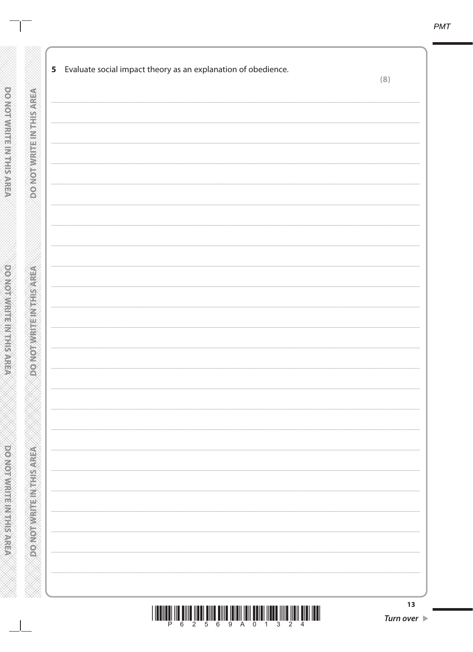| Evaluate social impact theory as an explanation of obedience.<br>5 <sub>5</sub> |                                                                                                                                                                                                                                                                                                                                                                                                                                                               |                                 |
|---------------------------------------------------------------------------------|---------------------------------------------------------------------------------------------------------------------------------------------------------------------------------------------------------------------------------------------------------------------------------------------------------------------------------------------------------------------------------------------------------------------------------------------------------------|---------------------------------|
|                                                                                 |                                                                                                                                                                                                                                                                                                                                                                                                                                                               | (8)                             |
|                                                                                 |                                                                                                                                                                                                                                                                                                                                                                                                                                                               |                                 |
|                                                                                 |                                                                                                                                                                                                                                                                                                                                                                                                                                                               |                                 |
| <b>ABBASILING IN STRANGONIO</b><br>                                             |                                                                                                                                                                                                                                                                                                                                                                                                                                                               |                                 |
|                                                                                 |                                                                                                                                                                                                                                                                                                                                                                                                                                                               |                                 |
|                                                                                 |                                                                                                                                                                                                                                                                                                                                                                                                                                                               |                                 |
|                                                                                 |                                                                                                                                                                                                                                                                                                                                                                                                                                                               |                                 |
|                                                                                 |                                                                                                                                                                                                                                                                                                                                                                                                                                                               |                                 |
|                                                                                 |                                                                                                                                                                                                                                                                                                                                                                                                                                                               |                                 |
|                                                                                 |                                                                                                                                                                                                                                                                                                                                                                                                                                                               |                                 |
|                                                                                 |                                                                                                                                                                                                                                                                                                                                                                                                                                                               |                                 |
|                                                                                 |                                                                                                                                                                                                                                                                                                                                                                                                                                                               |                                 |
|                                                                                 |                                                                                                                                                                                                                                                                                                                                                                                                                                                               |                                 |
| <b>MOTENGER BREEK SARES</b>                                                     |                                                                                                                                                                                                                                                                                                                                                                                                                                                               |                                 |
|                                                                                 |                                                                                                                                                                                                                                                                                                                                                                                                                                                               |                                 |
|                                                                                 |                                                                                                                                                                                                                                                                                                                                                                                                                                                               |                                 |
|                                                                                 |                                                                                                                                                                                                                                                                                                                                                                                                                                                               |                                 |
|                                                                                 |                                                                                                                                                                                                                                                                                                                                                                                                                                                               |                                 |
|                                                                                 |                                                                                                                                                                                                                                                                                                                                                                                                                                                               |                                 |
|                                                                                 |                                                                                                                                                                                                                                                                                                                                                                                                                                                               |                                 |
|                                                                                 |                                                                                                                                                                                                                                                                                                                                                                                                                                                               |                                 |
|                                                                                 |                                                                                                                                                                                                                                                                                                                                                                                                                                                               |                                 |
|                                                                                 |                                                                                                                                                                                                                                                                                                                                                                                                                                                               |                                 |
| <b>PONOTWEITENMIESARE</b>                                                       |                                                                                                                                                                                                                                                                                                                                                                                                                                                               |                                 |
|                                                                                 |                                                                                                                                                                                                                                                                                                                                                                                                                                                               |                                 |
|                                                                                 |                                                                                                                                                                                                                                                                                                                                                                                                                                                               |                                 |
|                                                                                 |                                                                                                                                                                                                                                                                                                                                                                                                                                                               |                                 |
|                                                                                 |                                                                                                                                                                                                                                                                                                                                                                                                                                                               | 13                              |
|                                                                                 | $\begin{array}{c} \text{if} \ \text{if} \ \text{if} \ \text{if} \ \text{if} \ \text{if} \ \text{if} \ \text{if} \ \text{if} \ \text{if} \ \text{if} \ \text{if} \ \text{if} \ \text{if} \ \text{if} \ \text{if} \ \text{if} \ \text{if} \ \text{if} \ \text{if} \ \text{if} \ \text{if} \ \text{if} \ \text{if} \ \text{if} \ \text{if} \ \text{if} \ \text{if} \ \text{if} \ \text{if} \ \text{if} \ \text{if} \ \text{if} \ \text{if} \ \text{if} \ \text{$ | Turn over $\blacktriangleright$ |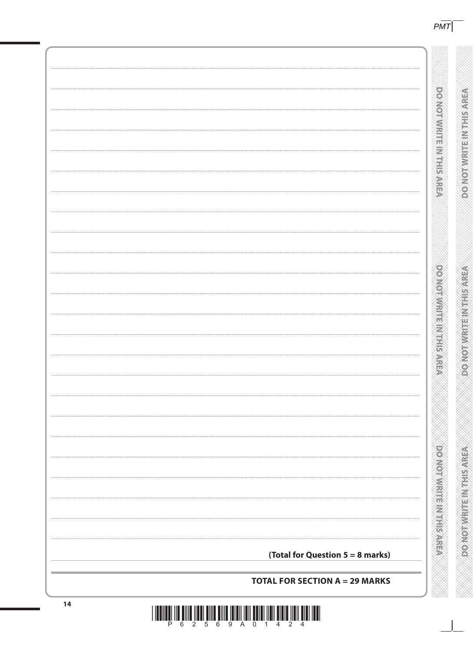| (Total for Question 5 = 8 marks)      |
|---------------------------------------|
| <b>TOTAL FOR SECTION A = 29 MARKS</b> |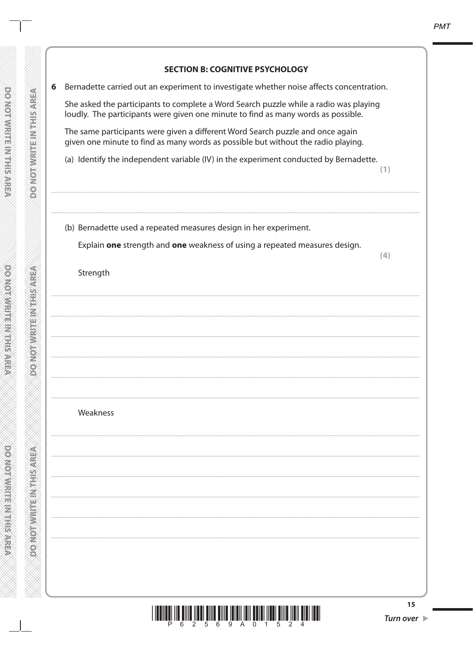| <b>SECTION B: COGNITIVE PSYCHOLOGY</b>                                                                                                                                     |     |  |  |
|----------------------------------------------------------------------------------------------------------------------------------------------------------------------------|-----|--|--|
| Bernadette carried out an experiment to investigate whether noise affects concentration.                                                                                   |     |  |  |
| She asked the participants to complete a Word Search puzzle while a radio was playing<br>loudly. The participants were given one minute to find as many words as possible. |     |  |  |
| The same participants were given a different Word Search puzzle and once again<br>given one minute to find as many words as possible but without the radio playing.        |     |  |  |
| (a) Identify the independent variable (IV) in the experiment conducted by Bernadette.                                                                                      | (1) |  |  |
| (b) Bernadette used a repeated measures design in her experiment.                                                                                                          |     |  |  |
| Explain one strength and one weakness of using a repeated measures design.                                                                                                 | (4) |  |  |
| Strength                                                                                                                                                                   |     |  |  |
|                                                                                                                                                                            |     |  |  |
|                                                                                                                                                                            |     |  |  |
|                                                                                                                                                                            |     |  |  |
|                                                                                                                                                                            |     |  |  |
|                                                                                                                                                                            |     |  |  |
|                                                                                                                                                                            |     |  |  |
| Weakness                                                                                                                                                                   |     |  |  |
|                                                                                                                                                                            |     |  |  |
|                                                                                                                                                                            |     |  |  |
|                                                                                                                                                                            |     |  |  |
|                                                                                                                                                                            |     |  |  |
|                                                                                                                                                                            |     |  |  |
|                                                                                                                                                                            |     |  |  |
|                                                                                                                                                                            |     |  |  |
|                                                                                                                                                                            |     |  |  |
|                                                                                                                                                                            |     |  |  |
|                                                                                                                                                                            | 15  |  |  |

**DO NOT WRITE IN THIS AREA** 

DO NOT WRITE INTHIS AREA

**DONOTWRITEINTHISAREA** 

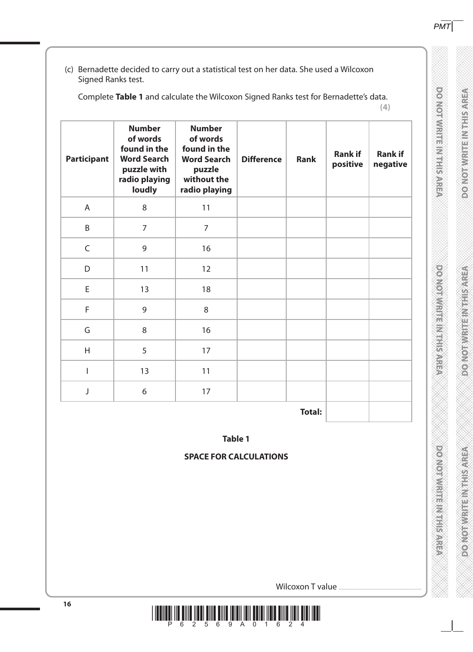**DOONOTWITTEINTHISAREA** 

DONOTWRITE MITHISAREA

**(4)**

(c) Bernadette decided to carry out a statistical test on her data. She used a Wilcoxon Signed Ranks test.

Complete **Table 1** and calculate the Wilcoxon Signed Ranks test for Bernadette's data.

**Participant Number of words found in the Word Search puzzle with radio playing loudly Number of words found in the Word Search puzzle without the radio playing Difference** Rank Rank if **positive Rank if negative** A | 8 | 11 B 7 7 7 C | 9 | 16 D | 11 | 12 E | 13 | 18 F | 9 | 8 G | 8 | 16 H | 5 | 17 I 13 11 J 6 17

**Total:**

## **Table 1**

# **SPACE FOR CALCULATIONS**

Wilcoxon T value ..............................................................

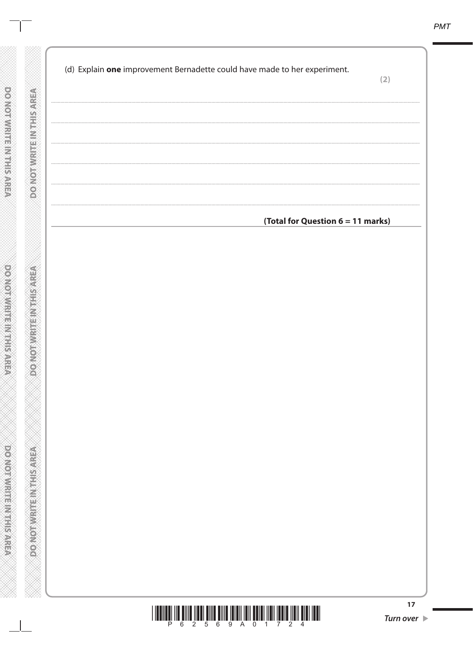|                                | (d) Explain one improvement Bernadette could have made to her experiment. | (2)             |
|--------------------------------|---------------------------------------------------------------------------|-----------------|
| <b>DO NOTWRITE INTHIS AREA</b> |                                                                           |                 |
|                                |                                                                           |                 |
|                                | (Total for Question 6 = 11 marks)                                         |                 |
|                                |                                                                           |                 |
| <b>PONOTIVE TENTHIS AREA</b>   |                                                                           |                 |
|                                |                                                                           |                 |
|                                |                                                                           |                 |
| DO NOT WRITE IN THIS AREA      |                                                                           |                 |
|                                |                                                                           |                 |
|                                |                                                                           | 17<br>Turn over |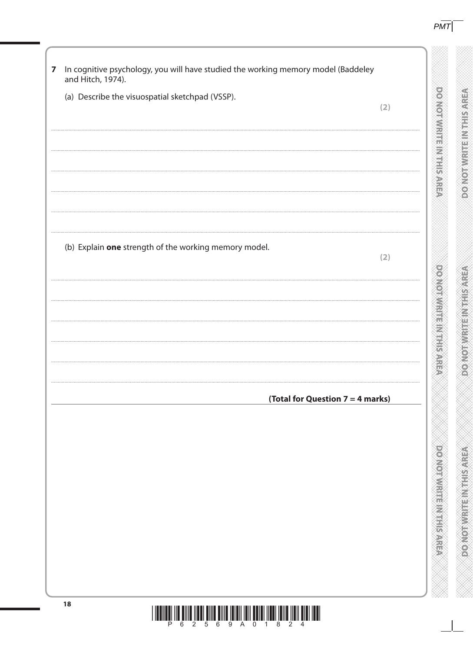| and Hitch, 1974).                               |                                                       |                                  |
|-------------------------------------------------|-------------------------------------------------------|----------------------------------|
| (a) Describe the visuospatial sketchpad (VSSP). |                                                       | (2)                              |
|                                                 |                                                       |                                  |
|                                                 |                                                       |                                  |
|                                                 |                                                       |                                  |
|                                                 |                                                       |                                  |
|                                                 |                                                       |                                  |
|                                                 |                                                       |                                  |
|                                                 |                                                       |                                  |
|                                                 | (b) Explain one strength of the working memory model. |                                  |
|                                                 |                                                       | (2)                              |
|                                                 |                                                       |                                  |
|                                                 |                                                       |                                  |
|                                                 |                                                       |                                  |
|                                                 |                                                       |                                  |
|                                                 |                                                       |                                  |
|                                                 |                                                       |                                  |
|                                                 |                                                       |                                  |
|                                                 |                                                       | (Total for Question 7 = 4 marks) |
|                                                 |                                                       |                                  |
|                                                 |                                                       |                                  |
|                                                 |                                                       |                                  |
|                                                 |                                                       |                                  |
|                                                 |                                                       |                                  |
|                                                 |                                                       |                                  |
|                                                 |                                                       |                                  |
|                                                 |                                                       |                                  |
|                                                 |                                                       |                                  |
|                                                 |                                                       |                                  |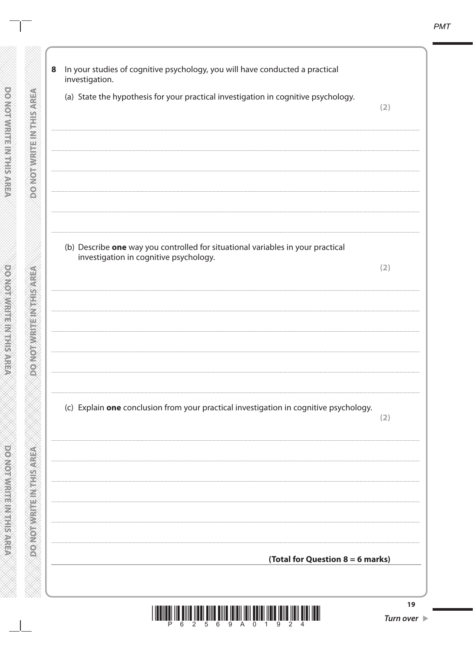| investigation.<br>(a) State the hypothesis for your practical investigation in cognitive psychology. |     |
|------------------------------------------------------------------------------------------------------|-----|
|                                                                                                      | (2) |
|                                                                                                      |     |
|                                                                                                      |     |
|                                                                                                      |     |
|                                                                                                      |     |
|                                                                                                      |     |
| (b) Describe one way you controlled for situational variables in your practical                      |     |
| investigation in cognitive psychology.                                                               | (2) |
|                                                                                                      |     |
|                                                                                                      |     |
|                                                                                                      |     |
|                                                                                                      |     |
|                                                                                                      |     |
|                                                                                                      |     |
| (c) Explain one conclusion from your practical investigation in cognitive psychology.                | (2) |
|                                                                                                      |     |
|                                                                                                      |     |
|                                                                                                      |     |
|                                                                                                      |     |
|                                                                                                      |     |
|                                                                                                      |     |
| (Total for Question 8 = 6 marks)                                                                     |     |
|                                                                                                      |     |

**PROVIDED WATEIN THIS AREA**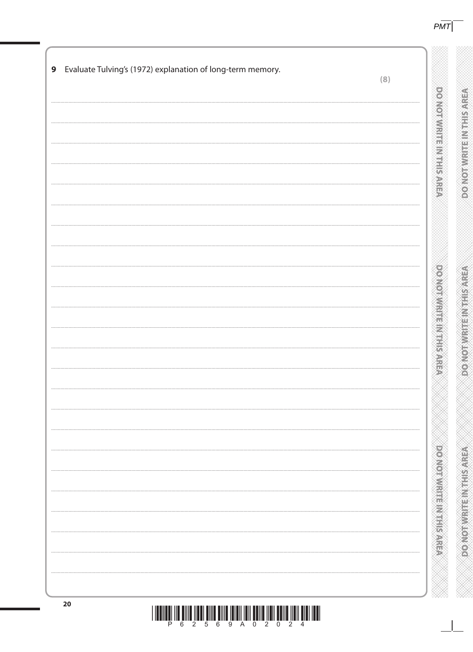| Evaluate Tulving's (1972) explanation of long-term memory.<br>$\mathbf{9}$ | (8)                                     |
|----------------------------------------------------------------------------|-----------------------------------------|
|                                                                            |                                         |
|                                                                            |                                         |
|                                                                            |                                         |
|                                                                            |                                         |
|                                                                            |                                         |
|                                                                            |                                         |
|                                                                            |                                         |
|                                                                            |                                         |
|                                                                            | <b>PLOSTICS AND RESIDENTS OF STREET</b> |
|                                                                            |                                         |
|                                                                            |                                         |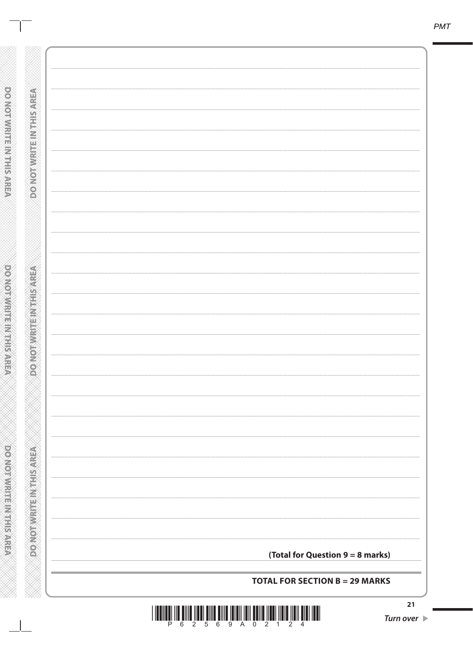| (Total for Question 9 = 8 marks)      |
|---------------------------------------|
| <b>TOTAL FOR SECTION B = 29 MARKS</b> |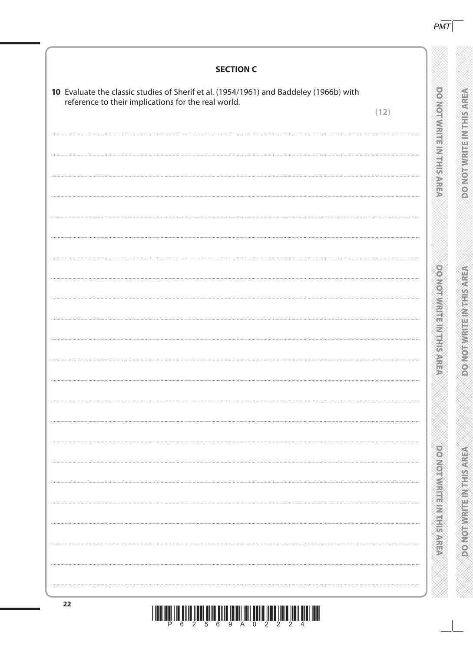|                                                                                                                                               | <b>SECTION C</b> |      |
|-----------------------------------------------------------------------------------------------------------------------------------------------|------------------|------|
| 10 Evaluate the classic studies of Sherif et al. (1954/1961) and Baddeley (1966b) with<br>reference to their implications for the real world. |                  |      |
|                                                                                                                                               |                  | (12) |
|                                                                                                                                               |                  |      |
|                                                                                                                                               |                  |      |
|                                                                                                                                               |                  |      |
|                                                                                                                                               |                  |      |
|                                                                                                                                               |                  |      |
|                                                                                                                                               |                  |      |
|                                                                                                                                               |                  |      |
|                                                                                                                                               |                  |      |
|                                                                                                                                               |                  |      |
|                                                                                                                                               |                  |      |
|                                                                                                                                               |                  |      |
|                                                                                                                                               |                  |      |
|                                                                                                                                               |                  |      |
|                                                                                                                                               |                  |      |
|                                                                                                                                               |                  |      |
|                                                                                                                                               |                  |      |
|                                                                                                                                               |                  |      |
|                                                                                                                                               |                  |      |
|                                                                                                                                               |                  |      |
|                                                                                                                                               |                  |      |
|                                                                                                                                               |                  |      |
|                                                                                                                                               |                  |      |
|                                                                                                                                               |                  |      |
|                                                                                                                                               |                  |      |
|                                                                                                                                               |                  |      |
|                                                                                                                                               |                  |      |
|                                                                                                                                               |                  |      |
|                                                                                                                                               |                  |      |
|                                                                                                                                               |                  |      |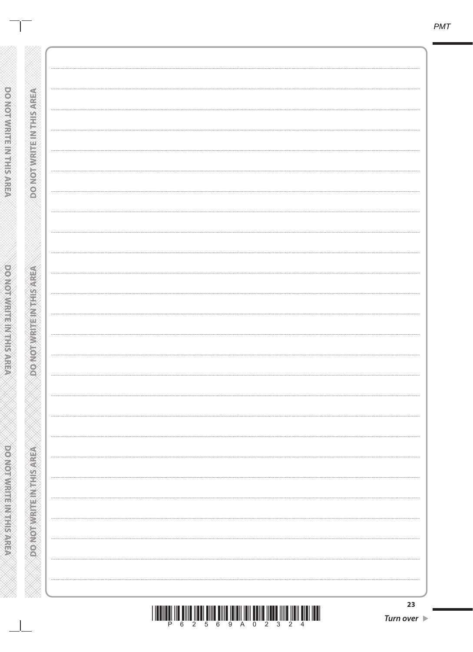|  | 23<br>Turn over $\blacktriangleright$ |
|--|---------------------------------------|